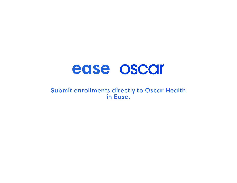# Submit enrollments directly to Oscar Health

# ease oscar in Ease.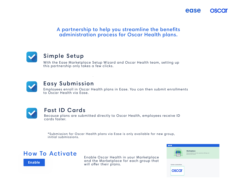



Simple Setup

With the Ease Marketplace Setup Wizard and Oscar Health team, setting up this partnership only takes a few clicks.



Enable Oscar Health in your Marketplace and the Marketplace for each group that **Enable** and the murketpluce will offer their plans.



# Fast ID Cards

Because plans are submitted directly to Oscar Health, employees receive ID

cards faster.



Easy Submission Employees enroll in Oscar Health plans in Ease. You can then submit enrollments to Oscar Health via Ease.



## A partnership to help you streamline the benefits administration process for Oscar Health plans.

\*Submission for Oscar Health plans via Ease is only available for new group, initial submissions.







Discover products to save time, expand your offerings, and